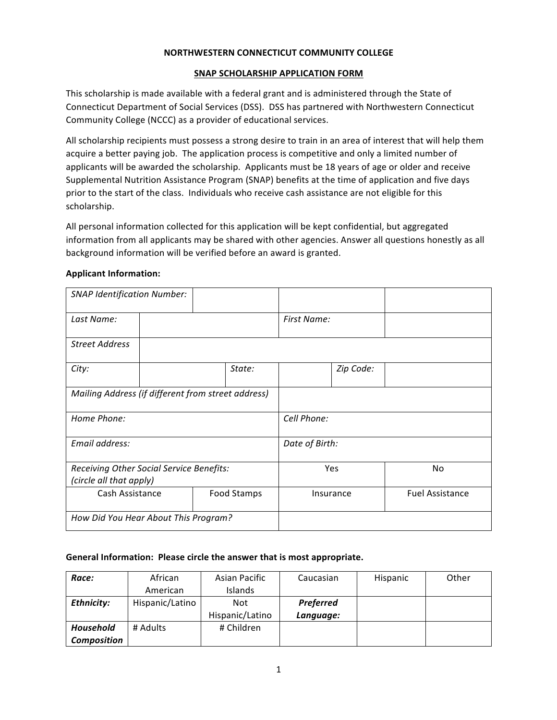#### **NORTHWESTERN CONNECTICUT COMMUNITY COLLEGE**

#### **SNAP SCHOLARSHIP APPLICATION FORM**

This scholarship is made available with a federal grant and is administered through the State of Connecticut Department of Social Services (DSS). DSS has partnered with Northwestern Connecticut Community College (NCCC) as a provider of educational services.

All scholarship recipients must possess a strong desire to train in an area of interest that will help them acquire a better paying job. The application process is competitive and only a limited number of applicants will be awarded the scholarship. Applicants must be 18 years of age or older and receive Supplemental Nutrition Assistance Program (SNAP) benefits at the time of application and five days prior to the start of the class. Individuals who receive cash assistance are not eligible for this scholarship.

All personal information collected for this application will be kept confidential, but aggregated information from all applicants may be shared with other agencies. Answer all questions honestly as all background information will be verified before an award is granted.

#### **Applicant Information:**

| <b>SNAP Identification Number:</b>                                  |                                      |             |                |                        |           |  |
|---------------------------------------------------------------------|--------------------------------------|-------------|----------------|------------------------|-----------|--|
| Last Name:                                                          |                                      | First Name: |                |                        |           |  |
| <b>Street Address</b>                                               |                                      |             |                |                        |           |  |
| City:                                                               |                                      |             | State:         |                        | Zip Code: |  |
| Mailing Address (if different from street address)                  |                                      |             |                |                        |           |  |
| Home Phone:                                                         |                                      |             | Cell Phone:    |                        |           |  |
| Email address:                                                      |                                      |             | Date of Birth: |                        |           |  |
| Receiving Other Social Service Benefits:<br>(circle all that apply) |                                      |             | Yes            | No                     |           |  |
| Cash Assistance<br>Food Stamps                                      |                                      |             | Insurance      | <b>Fuel Assistance</b> |           |  |
|                                                                     | How Did You Hear About This Program? |             |                |                        |           |  |

#### General Information: Please circle the answer that is most appropriate.

| Race:              | African         | Asian Pacific   | Caucasian        | Hispanic | Other |
|--------------------|-----------------|-----------------|------------------|----------|-------|
|                    | American        | <b>Islands</b>  |                  |          |       |
| Ethnicity:         | Hispanic/Latino | <b>Not</b>      | <b>Preferred</b> |          |       |
|                    |                 | Hispanic/Latino | Language:        |          |       |
| <b>Household</b>   | # Adults        | # Children      |                  |          |       |
| <b>Composition</b> |                 |                 |                  |          |       |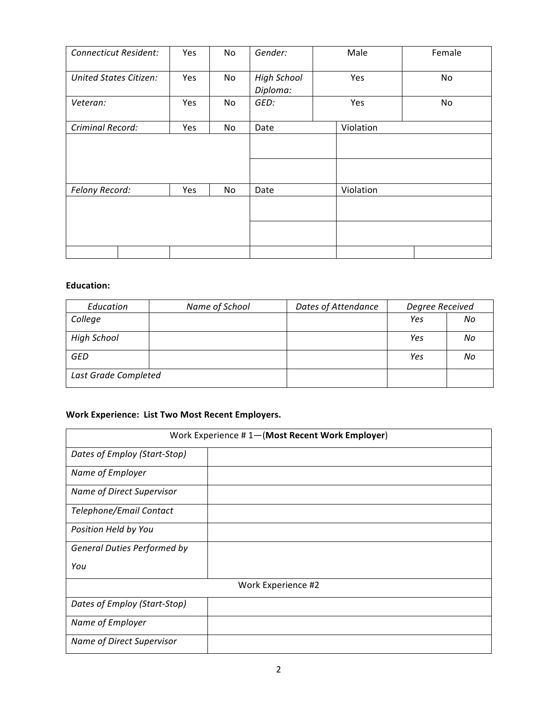| <b>Connecticut Resident:</b>  | Yes | No | Gender:                        | Male      | Female |  |
|-------------------------------|-----|----|--------------------------------|-----------|--------|--|
| <b>United States Citizen:</b> | Yes | No | <b>High School</b><br>Diploma: | Yes       | No     |  |
| Veteran:                      | Yes | No | GED:                           | Yes       | No     |  |
| Criminal Record:              | Yes | No | Date                           | Violation |        |  |
|                               |     |    |                                |           |        |  |
| Felony Record:<br>Yes         |     | No | Date                           | Violation |        |  |
|                               |     |    |                                |           |        |  |
|                               |     |    |                                |           |        |  |
|                               |     |    |                                |           |        |  |

# **Education:**

| Education            | Name of School | Dates of Attendance | Degree Received |    |
|----------------------|----------------|---------------------|-----------------|----|
| College              |                |                     | Yes             | No |
| <b>High School</b>   |                |                     | Yes             | No |
| <b>GED</b>           |                |                     | Yes             | No |
| Last Grade Completed |                |                     |                 |    |

# Work Experience: List Two Most Recent Employers.

| Work Experience #1-(Most Recent Work Employer) |                    |  |  |  |
|------------------------------------------------|--------------------|--|--|--|
| Dates of Employ (Start-Stop)                   |                    |  |  |  |
| Name of Employer                               |                    |  |  |  |
| <b>Name of Direct Supervisor</b>               |                    |  |  |  |
| Telephone/Email Contact                        |                    |  |  |  |
| Position Held by You                           |                    |  |  |  |
| <b>General Duties Performed by</b>             |                    |  |  |  |
| You                                            |                    |  |  |  |
|                                                | Work Experience #2 |  |  |  |
| Dates of Employ (Start-Stop)                   |                    |  |  |  |
| Name of Employer                               |                    |  |  |  |
| <b>Name of Direct Supervisor</b>               |                    |  |  |  |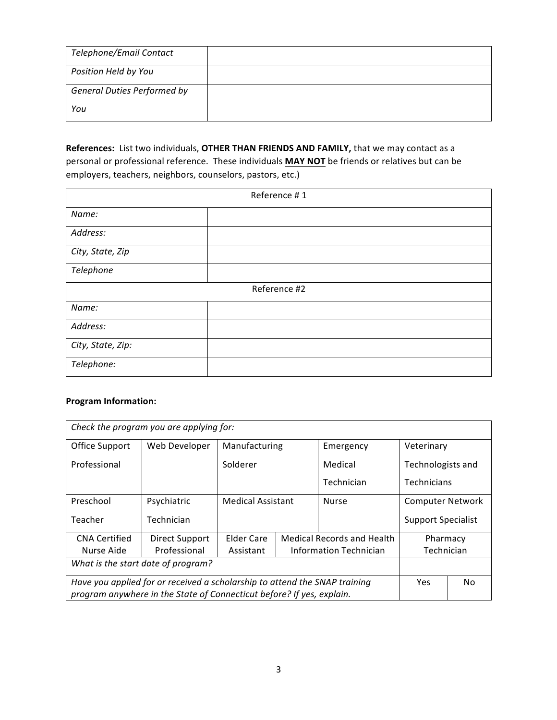| Telephone/Email Contact            |  |
|------------------------------------|--|
| Position Held by You               |  |
| <b>General Duties Performed by</b> |  |
| You                                |  |

References: List two individuals, OTHER THAN FRIENDS AND FAMILY, that we may contact as a personal or professional reference. These individuals **MAY NOT** be friends or relatives but can be employers, teachers, neighbors, counselors, pastors, etc.)

| Reference #1      |              |  |  |  |
|-------------------|--------------|--|--|--|
| Name:             |              |  |  |  |
| Address:          |              |  |  |  |
| City, State, Zip  |              |  |  |  |
| Telephone         |              |  |  |  |
|                   | Reference #2 |  |  |  |
| Name:             |              |  |  |  |
| Address:          |              |  |  |  |
| City, State, Zip: |              |  |  |  |
| Telephone:        |              |  |  |  |

### **Program Information:**

| Check the program you are applying for:                                    |                |                                                                    |  |                           |                         |  |
|----------------------------------------------------------------------------|----------------|--------------------------------------------------------------------|--|---------------------------|-------------------------|--|
| Office Support                                                             | Web Developer  | Manufacturing                                                      |  | Emergency                 | Veterinary              |  |
| Professional                                                               |                | Solderer                                                           |  | Medical                   | Technologists and       |  |
|                                                                            |                |                                                                    |  | Technician                | Technicians             |  |
| Preschool                                                                  | Psychiatric    | <b>Medical Assistant</b>                                           |  | <b>Nurse</b>              | <b>Computer Network</b> |  |
| Teacher                                                                    | Technician     |                                                                    |  | <b>Support Specialist</b> |                         |  |
| <b>CNA Certified</b>                                                       | Direct Support | <b>Medical Records and Health</b><br><b>Elder Care</b><br>Pharmacy |  |                           |                         |  |
| Nurse Aide                                                                 | Professional   | Technician<br><b>Information Technician</b><br>Assistant           |  |                           |                         |  |
| What is the start date of program?                                         |                |                                                                    |  |                           |                         |  |
| Have you applied for or received a scholarship to attend the SNAP training |                |                                                                    |  | <b>Yes</b>                | No                      |  |
| program anywhere in the State of Connecticut before? If yes, explain.      |                |                                                                    |  |                           |                         |  |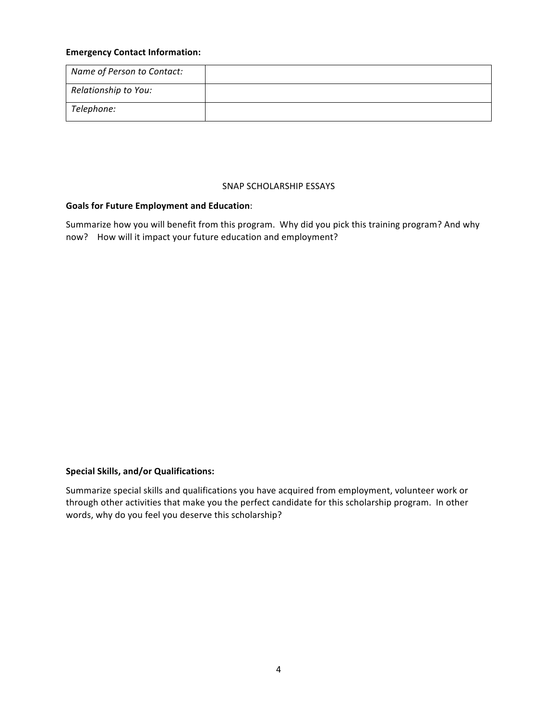#### **Emergency Contact Information:**

| Name of Person to Contact: |  |
|----------------------------|--|
| Relationship to You:       |  |
| Telephone:                 |  |

#### SNAP SCHOLARSHIP ESSAYS

#### Goals for Future Employment and Education:

Summarize how you will benefit from this program. Why did you pick this training program? And why now? How will it impact your future education and employment?

### **Special Skills, and/or Qualifications:**

Summarize special skills and qualifications you have acquired from employment, volunteer work or through other activities that make you the perfect candidate for this scholarship program. In other words, why do you feel you deserve this scholarship?